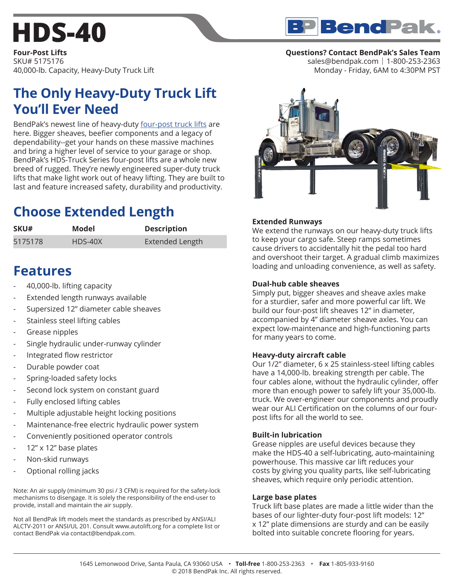# **[HDS-40](https://www.bendpak.com/car-lifts/four-post-lifts/hds-40/)**



**Four-Post Lifts** SKU# 5175176 40,000-lb. Capacity, Heavy-Duty Truck Lift

## **The Only Heavy-Duty Truck Lift You'll Ever Need**

BendPak's newest line of heavy-duty [four-post truck lifts](https://www.bendpak.com/car-lifts/four-post-lifts/) are here. Bigger sheaves, beefier components and a legacy of dependability--get your hands on these massive machines and bring a higher level of service to your garage or shop. BendPak's HDS-Truck Series four-post lifts are a whole new breed of rugged. They're newly engineered super-duty truck lifts that make light work out of heavy lifting. They are built to last and feature increased safety, durability and productivity.

# **Choose Extended Length**

| SKU#    | Model   | <b>Description</b>     |
|---------|---------|------------------------|
| 5175178 | HDS-40X | <b>Extended Length</b> |

### **Features**

- 40,000-lb. lifting capacity
- Extended length runways available
- Supersized 12" diameter cable sheaves
- Stainless steel lifting cables
- Grease nipples
- Single hydraulic under-runway cylinder
- Integrated flow restrictor
- Durable powder coat
- Spring-loaded safety locks
- Second lock system on constant guard
- Fully enclosed lifting cables
- Multiple adjustable height locking positions
- Maintenance-free electric hydraulic power system
- Conveniently positioned operator controls
- 12" x 12" base plates
- Non-skid runways
- Optional rolling jacks

Note: An air supply (minimum 30 psi / 3 CFM) is required for the safety-lock mechanisms to disengage. It is solely the responsibility of the end-user to provide, install and maintain the air supply.

Not all BendPak lift models meet the standards as prescribed by ANSI/ALI ALCTV-2011 or ANSI/UL 201. Consult www.autolift.org for a complete list or contact BendPak via contact@bendpak.com.

#### **Questions? Contact BendPak's Sales Team**

sales@bendpak.com | 1-800-253-2363 Monday - Friday, 6AM to 4:30PM PST



#### **Extended Runways**

We extend the runways on our heavy-duty truck lifts to keep your cargo safe. Steep ramps sometimes cause drivers to accidentally hit the pedal too hard and overshoot their target. A gradual climb maximizes loading and unloading convenience, as well as safety.

#### **Dual-hub cable sheaves**

Simply put, bigger sheaves and sheave axles make for a sturdier, safer and more powerful car lift. We build our four-post lift sheaves 12" in diameter, accompanied by 4" diameter sheave axles. You can expect low-maintenance and high-functioning parts for many years to come.

#### **Heavy-duty aircraft cable**

Our 1/2" diameter, 6 x 25 stainless-steel lifting cables have a 14,000-lb. breaking strength per cable. The four cables alone, without the hydraulic cylinder, offer more than enough power to safely lift your 35,000-lb. truck. We over-engineer our components and proudly wear our ALI Certification on the columns of our fourpost lifts for all the world to see.

#### **Built-in lubrication**

Grease nipples are useful devices because they make the HDS-40 a self-lubricating, auto-maintaining powerhouse. This massive car lift reduces your costs by giving you quality parts, like self-lubricating sheaves, which require only periodic attention.

#### **Large base plates**

Truck lift base plates are made a little wider than the bases of our lighter-duty four-post lift models: 12" x 12" plate dimensions are sturdy and can be easily bolted into suitable concrete flooring for years.